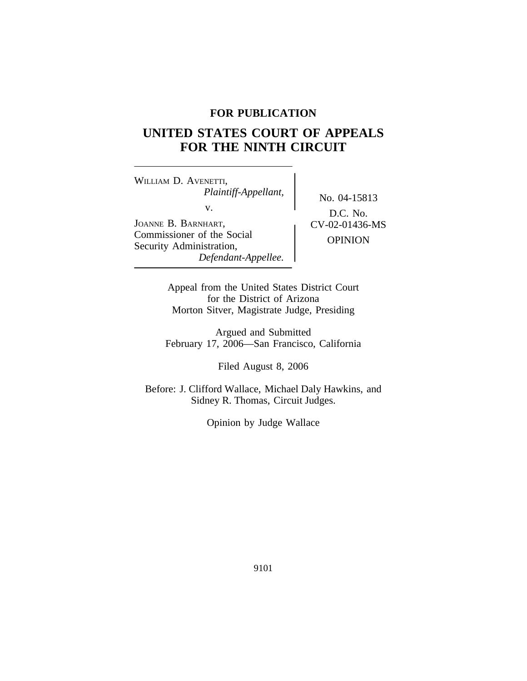# **FOR PUBLICATION**

# **UNITED STATES COURT OF APPEALS FOR THE NINTH CIRCUIT**

<sup>W</sup>ILLIAM D. AVENETTI, *Plaintiff-Appellant,* No. 04-15813<br>v. D.G.M. JOANNE B. BARNHART,  $CV-02-01436-MS$ Commissioner of the Social OPINION Security Administration, *Defendant-Appellee.*

D.C. No.

Appeal from the United States District Court for the District of Arizona Morton Sitver, Magistrate Judge, Presiding

Argued and Submitted February 17, 2006—San Francisco, California

Filed August 8, 2006

Before: J. Clifford Wallace, Michael Daly Hawkins, and Sidney R. Thomas, Circuit Judges.

Opinion by Judge Wallace

9101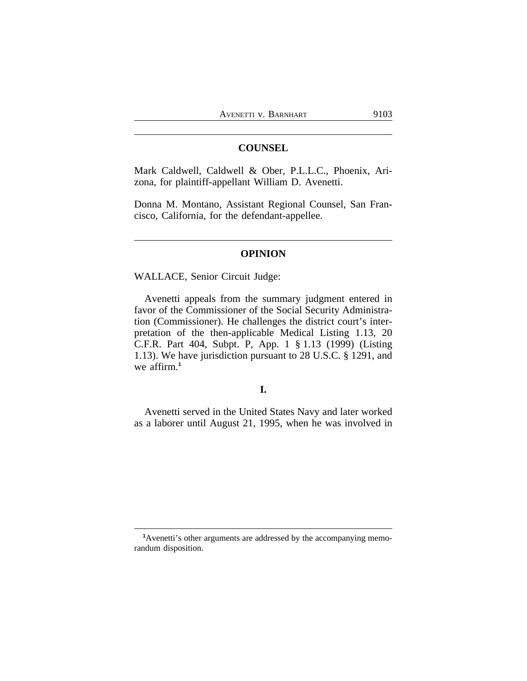## **COUNSEL**

Mark Caldwell, Caldwell & Ober, P.L.L.C., Phoenix, Arizona, for plaintiff-appellant William D. Avenetti.

Donna M. Montano, Assistant Regional Counsel, San Francisco, California, for the defendant-appellee.

#### **OPINION**

WALLACE, Senior Circuit Judge:

Avenetti appeals from the summary judgment entered in favor of the Commissioner of the Social Security Administration (Commissioner). He challenges the district court's interpretation of the then-applicable Medical Listing 1.13, 20 C.F.R. Part 404, Subpt. P, App. 1 § 1.13 (1999) (Listing 1.13). We have jurisdiction pursuant to 28 U.S.C. § 1291, and we affirm.**<sup>1</sup>**

# **I.**

Avenetti served in the United States Navy and later worked as a laborer until August 21, 1995, when he was involved in

**<sup>1</sup>**Avenetti's other arguments are addressed by the accompanying memorandum disposition.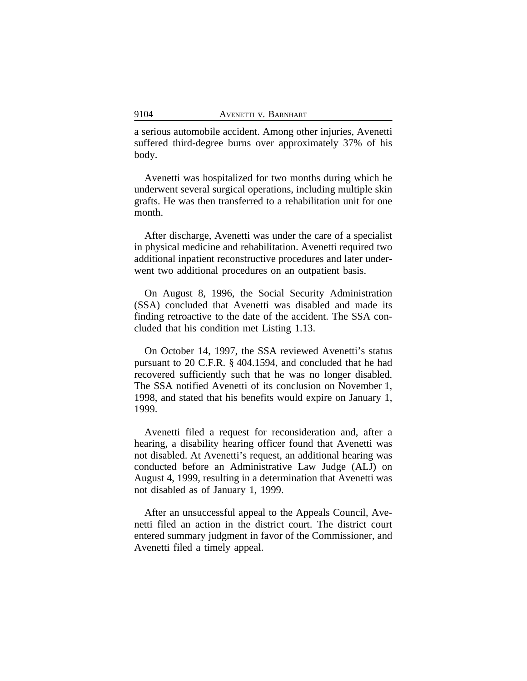a serious automobile accident. Among other injuries, Avenetti suffered third-degree burns over approximately 37% of his body.

Avenetti was hospitalized for two months during which he underwent several surgical operations, including multiple skin grafts. He was then transferred to a rehabilitation unit for one month.

After discharge, Avenetti was under the care of a specialist in physical medicine and rehabilitation. Avenetti required two additional inpatient reconstructive procedures and later underwent two additional procedures on an outpatient basis.

On August 8, 1996, the Social Security Administration (SSA) concluded that Avenetti was disabled and made its finding retroactive to the date of the accident. The SSA concluded that his condition met Listing 1.13.

On October 14, 1997, the SSA reviewed Avenetti's status pursuant to 20 C.F.R. § 404.1594, and concluded that he had recovered sufficiently such that he was no longer disabled. The SSA notified Avenetti of its conclusion on November 1, 1998, and stated that his benefits would expire on January 1, 1999.

Avenetti filed a request for reconsideration and, after a hearing, a disability hearing officer found that Avenetti was not disabled. At Avenetti's request, an additional hearing was conducted before an Administrative Law Judge (ALJ) on August 4, 1999, resulting in a determination that Avenetti was not disabled as of January 1, 1999.

After an unsuccessful appeal to the Appeals Council, Avenetti filed an action in the district court. The district court entered summary judgment in favor of the Commissioner, and Avenetti filed a timely appeal.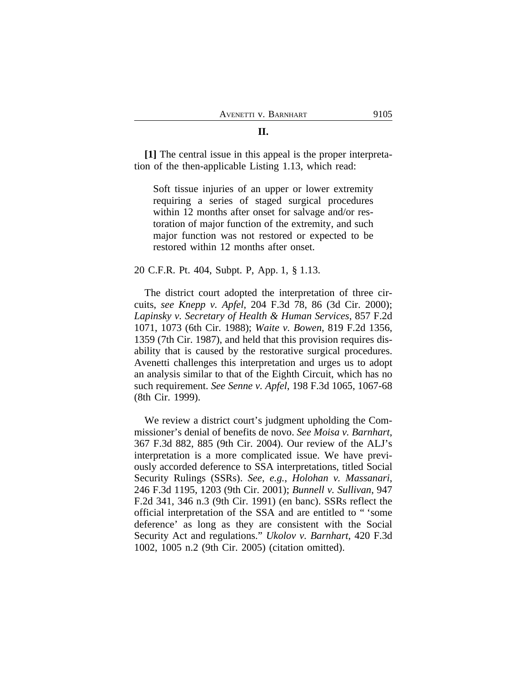# **[1]** The central issue in this appeal is the proper interpretation of the then-applicable Listing 1.13, which read:

Soft tissue injuries of an upper or lower extremity requiring a series of staged surgical procedures within 12 months after onset for salvage and/or restoration of major function of the extremity, and such major function was not restored or expected to be restored within 12 months after onset.

#### 20 C.F.R. Pt. 404, Subpt. P, App. 1, § 1.13.

The district court adopted the interpretation of three circuits, *see Knepp v. Apfel*, 204 F.3d 78, 86 (3d Cir. 2000); *Lapinsky v. Secretary of Health & Human Services*, 857 F.2d 1071, 1073 (6th Cir. 1988); *Waite v. Bowen*, 819 F.2d 1356, 1359 (7th Cir. 1987), and held that this provision requires disability that is caused by the restorative surgical procedures. Avenetti challenges this interpretation and urges us to adopt an analysis similar to that of the Eighth Circuit, which has no such requirement. *See Senne v. Apfel*, 198 F.3d 1065, 1067-68 (8th Cir. 1999).

We review a district court's judgment upholding the Commissioner's denial of benefits de novo. *See Moisa v. Barnhart*, 367 F.3d 882, 885 (9th Cir. 2004). Our review of the ALJ's interpretation is a more complicated issue. We have previously accorded deference to SSA interpretations, titled Social Security Rulings (SSRs). *See*, *e.g.*, *Holohan v. Massanari*, 246 F.3d 1195, 1203 (9th Cir. 2001); *Bunnell v. Sullivan*, 947 F.2d 341, 346 n.3 (9th Cir. 1991) (en banc). SSRs reflect the official interpretation of the SSA and are entitled to " 'some deference' as long as they are consistent with the Social Security Act and regulations." *Ukolov v. Barnhart*, 420 F.3d 1002, 1005 n.2 (9th Cir. 2005) (citation omitted).

## **II.**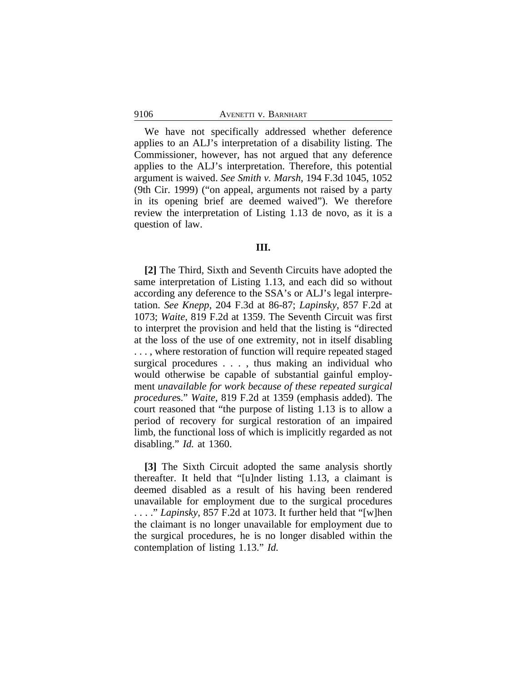#### 9106 AVENETTI v. BARNHART

We have not specifically addressed whether deference applies to an ALJ's interpretation of a disability listing. The Commissioner, however, has not argued that any deference applies to the ALJ's interpretation. Therefore, this potential argument is waived. *See Smith v. Marsh*, 194 F.3d 1045, 1052 (9th Cir. 1999) ("on appeal, arguments not raised by a party in its opening brief are deemed waived"). We therefore review the interpretation of Listing 1.13 de novo, as it is a question of law.

#### **III.**

**[2]** The Third, Sixth and Seventh Circuits have adopted the same interpretation of Listing 1.13, and each did so without according any deference to the SSA's or ALJ's legal interpretation. *See Knepp*, 204 F.3d at 86-87; *Lapinsky*, 857 F.2d at 1073; *Waite*, 819 F.2d at 1359. The Seventh Circuit was first to interpret the provision and held that the listing is "directed at the loss of the use of one extremity, not in itself disabling . . . , where restoration of function will require repeated staged surgical procedures . . . , thus making an individual who would otherwise be capable of substantial gainful employment *unavailable for work because of these repeated surgical procedure*s." *Waite*, 819 F.2d at 1359 (emphasis added). The court reasoned that "the purpose of listing 1.13 is to allow a period of recovery for surgical restoration of an impaired limb, the functional loss of which is implicitly regarded as not disabling." *Id.* at 1360.

**[3]** The Sixth Circuit adopted the same analysis shortly thereafter. It held that "[u]nder listing 1.13, a claimant is deemed disabled as a result of his having been rendered unavailable for employment due to the surgical procedures . . . ." *Lapinsky*, 857 F.2d at 1073. It further held that "[w]hen the claimant is no longer unavailable for employment due to the surgical procedures, he is no longer disabled within the contemplation of listing 1.13." *Id.*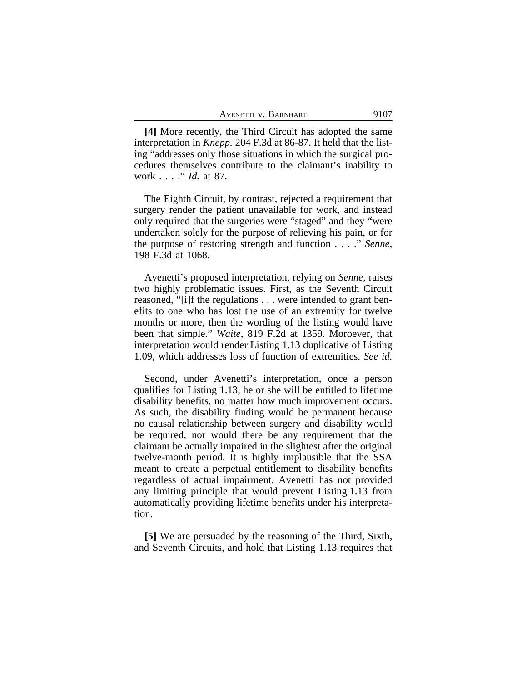| 9107<br>AVENETTI V. BARNHART |
|------------------------------|
|------------------------------|

**[4]** More recently, the Third Circuit has adopted the same interpretation in *Knepp.* 204 F.3d at 86-87. It held that the listing "addresses only those situations in which the surgical procedures themselves contribute to the claimant's inability to work . . . ." *Id.* at 87.

The Eighth Circuit, by contrast, rejected a requirement that surgery render the patient unavailable for work, and instead only required that the surgeries were "staged" and they "were undertaken solely for the purpose of relieving his pain, or for the purpose of restoring strength and function . . . ." *Senne*, 198 F.3d at 1068.

Avenetti's proposed interpretation, relying on *Senne*, raises two highly problematic issues. First, as the Seventh Circuit reasoned, "[i]f the regulations . . . were intended to grant benefits to one who has lost the use of an extremity for twelve months or more, then the wording of the listing would have been that simple." *Waite*, 819 F.2d at 1359. Moroever, that interpretation would render Listing 1.13 duplicative of Listing 1.09, which addresses loss of function of extremities. *See id.*

Second, under Avenetti's interpretation, once a person qualifies for Listing 1.13, he or she will be entitled to lifetime disability benefits, no matter how much improvement occurs. As such, the disability finding would be permanent because no causal relationship between surgery and disability would be required, nor would there be any requirement that the claimant be actually impaired in the slightest after the original twelve-month period. It is highly implausible that the SSA meant to create a perpetual entitlement to disability benefits regardless of actual impairment. Avenetti has not provided any limiting principle that would prevent Listing 1.13 from automatically providing lifetime benefits under his interpretation.

**[5]** We are persuaded by the reasoning of the Third, Sixth, and Seventh Circuits, and hold that Listing 1.13 requires that